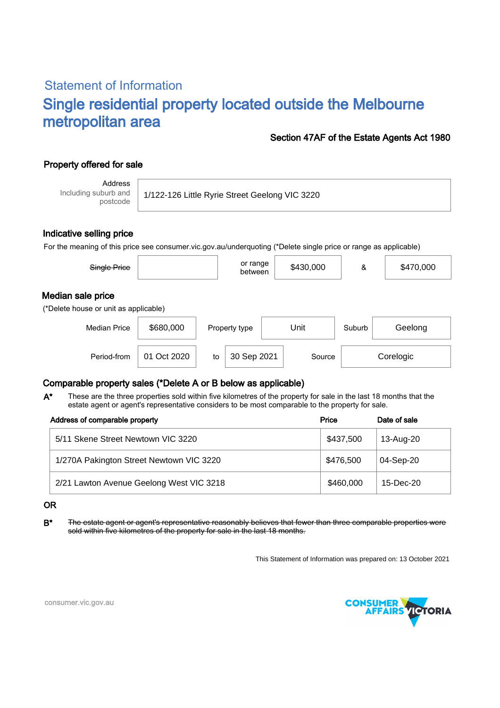# Statement of Information Single residential property located outside the Melbourne metropolitan area

#### Section 47AF of the Estate Agents Act 1980

## Property offered for sale

Address Including suburb and postcode

1/122-126 Little Ryrie Street Geelong VIC 3220

#### Indicative selling price

For the meaning of this price see consumer.vic.gov.au/underquoting (\*Delete single price or range as applicable)

| Single Price                                               |           | or range<br>between | \$430,000 | &      | \$470,000 |  |  |  |  |
|------------------------------------------------------------|-----------|---------------------|-----------|--------|-----------|--|--|--|--|
| Median sale price<br>(*Delete house or unit as applicable) |           |                     |           |        |           |  |  |  |  |
| <b>Median Price</b>                                        | \$680,000 | Property type       | Unit      | Suburb | Geelong   |  |  |  |  |

Period-from | 01 Oct 2020 | to | 30 Sep 2021 | Source | Corelogic

## Comparable property sales (\*Delete A or B below as applicable)

These are the three properties sold within five kilometres of the property for sale in the last 18 months that the estate agent or agent's representative considers to be most comparable to the property for sale. A\*

| Address of comparable property           | Price     | Date of sale |  |
|------------------------------------------|-----------|--------------|--|
| 5/11 Skene Street Newtown VIC 3220       | \$437,500 | 13-Aug-20    |  |
| 1/270A Pakington Street Newtown VIC 3220 | \$476,500 | 04-Sep-20    |  |
| 2/21 Lawton Avenue Geelong West VIC 3218 | \$460,000 | $15$ -Dec-20 |  |

#### OR

B<sup>\*</sup> The estate agent or agent's representative reasonably believes that fewer than three comparable properties were sold within five kilometres of the property for sale in the last 18 months.

This Statement of Information was prepared on: 13 October 2021



consumer.vic.gov.au